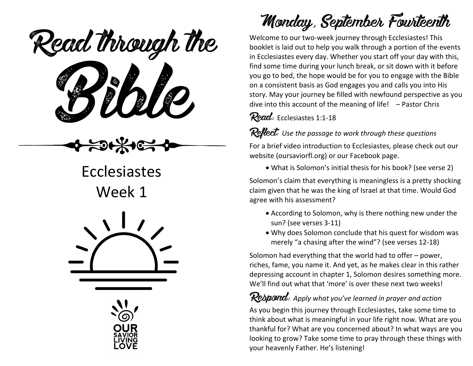Read through the



Ecclesiastes Week 1





Monday, September Fourteenth

Welcome to our two-week journey through Ecclesiastes! This booklet is laid out to help you walk through a portion of the events in Ecclesiastes every day. Whether you start off your day with this, find some time during your lunch break, or sit down with it before you go to bed, the hope would be for you to engage with the Bible on a consistent basis as God engages you and calls you into His story. May your journey be filled with newfound perspective as you dive into this account of the meaning of life! – Pastor Chris

#### Read: Ecclesiastes 1:1-18

#### Reflect: *Use the passage to work through these questions*

For a brief video introduction to Ecclesiastes, please check out our website (oursaviorfl.org) or our Facebook page.

• What is Solomon's initial thesis for his book? (see verse 2)

Solomon's claim that everything is meaningless is a pretty shocking claim given that he was the king of Israel at that time. Would God agree with his assessment?

- According to Solomon, why is there nothing new under the sun? (see verses 3-11)
- Why does Solomon conclude that his quest for wisdom was merely "a chasing after the wind"? (see verses 12-18)

Solomon had everything that the world had to offer – power, riches, fame, you name it. And yet, as he makes clear in this rather depressing account in chapter 1, Solomon desires something more. We'll find out what that 'more' is over these next two weeks!

### Rebpond: Apply what you've learned in prayer and action

As you begin this journey through Ecclesiastes, take some time to think about what is meaningful in your life right now. What are you thankful for? What are you concerned about? In what ways are you looking to grow? Take some time to pray through these things with your heavenly Father. He's listening!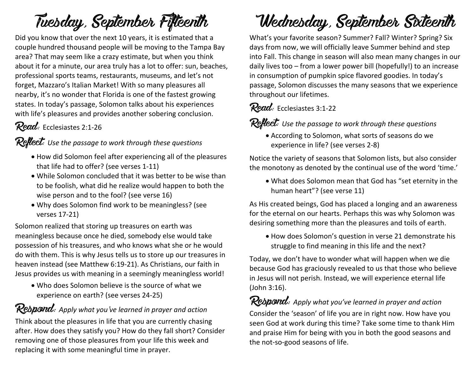# Tuesday, September Fifteenth

Did you know that over the next 10 years, it is estimated that a couple hundred thousand people will be moving to the Tampa Bay area? That may seem like a crazy estimate, but when you think about it for a minute, our area truly has a lot to offer: sun, beaches, professional sports teams, restaurants, museums, and let's not forget, Mazzaro's Italian Market! With so many pleasures all nearby, it's no wonder that Florida is one of the fastest growing states. In today's passage, Solomon talks about his experiences with life's pleasures and provides another sobering conclusion.

### Read: Ecclesiastes 2:1-26

#### Reflect: *Use the passage to work through these questions*

- How did Solomon feel after experiencing all of the pleasures that life had to offer? (see verses 1-11)
- While Solomon concluded that it was better to be wise than to be foolish, what did he realize would happen to both the wise person and to the fool? (see verse 16)
- Why does Solomon find work to be meaningless? (see verses 17-21)

Solomon realized that storing up treasures on earth was meaningless because once he died, somebody else would take possession of his treasures, and who knows what she or he would do with them. This is why Jesus tells us to store up our treasures in heaven instead (see Matthew 6:19-21). As Christians, our faith in Jesus provides us with meaning in a seemingly meaningless world!

• Who does Solomon believe is the source of what we experience on earth? (see verses 24-25)

### Respond: *Apply what you've learned in prayer and action*

Think about the pleasures in life that you are currently chasing after. How does they satisfy you? How do they fall short? Consider removing one of those pleasures from your life this week and replacing it with some meaningful time in prayer.

# Wednesday, September Sixteenth

What's your favorite season? Summer? Fall? Winter? Spring? Six days from now, we will officially leave Summer behind and step into Fall. This change in season will also mean many changes in our daily lives too – from a lower power bill (hopefully!) to an increase in consumption of pumpkin spice flavored goodies. In today's passage, Solomon discusses the many seasons that we experience throughout our lifetimes.

## Read: Ecclesiastes 3:1-22

Reflect: *Use the passage to work through these questions*

• According to Solomon, what sorts of seasons do we experience in life? (see verses 2-8)

Notice the variety of seasons that Solomon lists, but also consider the monotony as denoted by the continual use of the word 'time.'

• What does Solomon mean that God has "set eternity in the human heart"? (see verse 11)

As His created beings, God has placed a longing and an awareness for the eternal on our hearts. Perhaps this was why Solomon was desiring something more than the pleasures and toils of earth.

• How does Solomon's question in verse 21 demonstrate his struggle to find meaning in this life and the next?

Today, we don't have to wonder what will happen when we die because God has graciously revealed to us that those who believe in Jesus will not perish. Instead, we will experience eternal life (John 3:16).

### Respond: *Apply what you've learned in prayer and action*

Consider the 'season' of life you are in right now. How have you seen God at work during this time? Take some time to thank Him and praise Him for being with you in both the good seasons and the not-so-good seasons of life.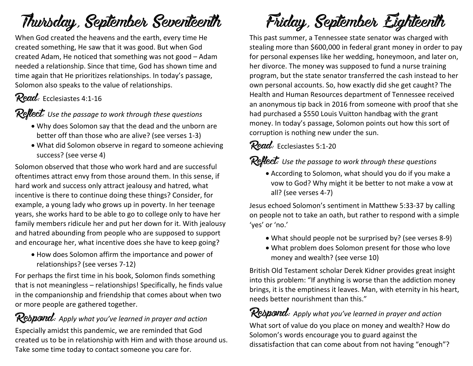# Thursday, September Seventeenth

When God created the heavens and the earth, every time He created something, He saw that it was good. But when God created Adam, He noticed that something was not good – Adam needed a relationship. Since that time, God has shown time and time again that He prioritizes relationships. In today's passage, Solomon also speaks to the value of relationships.

## Read: Ecclesiastes 4:1-16

Reflect: *Use the passage to work through these questions*

- Why does Solomon say that the dead and the unborn are better off than those who are alive? (see verses 1-3)
- What did Solomon observe in regard to someone achieving success? (see verse 4)

Solomon observed that those who work hard and are successful oftentimes attract envy from those around them. In this sense, if hard work and success only attract jealousy and hatred, what incentive is there to continue doing these things? Consider, for example, a young lady who grows up in poverty. In her teenage years, she works hard to be able to go to college only to have her family members ridicule her and put her down for it. With jealousy and hatred abounding from people who are supposed to support and encourage her, what incentive does she have to keep going?

• How does Solomon affirm the importance and power of relationships? (see verses 7-12)

For perhaps the first time in his book, Solomon finds something that is not meaningless – relationships! Specifically, he finds value in the companionship and friendship that comes about when two or more people are gathered together.

Respond: *Apply what you've learned in prayer and action* Especially amidst this pandemic, we are reminded that God created us to be in relationship with Him and with those around us. Take some time today to contact someone you care for.

# Friday, September Eighteenth

This past summer, a Tennessee state senator was charged with stealing more than \$600,000 in federal grant money in order to pay for personal expenses like her wedding, honeymoon, and later on, her divorce. The money was supposed to fund a nurse training program, but the state senator transferred the cash instead to her own personal accounts. So, how exactly did she get caught? The Health and Human Resources department of Tennessee received an anonymous tip back in 2016 from someone with proof that she had purchased a \$550 Louis Vuitton handbag with the grant money. In today's passage, Solomon points out how this sort of corruption is nothing new under the sun.

### Read: Ecclesiastes 5:1-20

Reflect: *Use the passage to work through these questions*

• According to Solomon, what should you do if you make a vow to God? Why might it be better to not make a vow at all? (see verses 4-7)

Jesus echoed Solomon's sentiment in Matthew 5:33-37 by calling on people not to take an oath, but rather to respond with a simple 'yes' or 'no.'

- What should people not be surprised by? (see verses 8-9)
- What problem does Solomon present for those who love money and wealth? (see verse 10)

British Old Testament scholar Derek Kidner provides great insight into this problem: "If anything is worse than the addiction money brings, it is the emptiness it leaves. Man, with eternity in his heart, needs better nourishment than this."

# Respond: *Apply what you've learned in prayer and action*

What sort of value do you place on money and wealth? How do Solomon's words encourage you to guard against the dissatisfaction that can come about from not having "enough"?